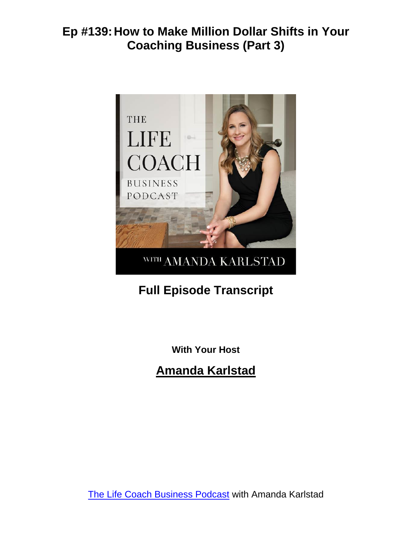

# **Full Episode Transcript**

**With Your Host**

**Amanda Karlstad**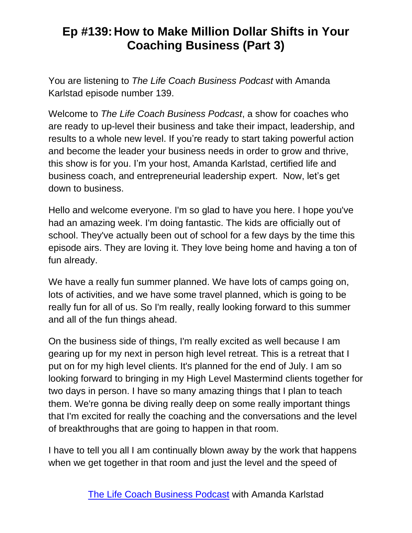You are listening to *The Life Coach Business Podcast* with Amanda Karlstad episode number 139.

Welcome to *The Life Coach Business Podcast*, a show for coaches who are ready to up-level their business and take their impact, leadership, and results to a whole new level. If you're ready to start taking powerful action and become the leader your business needs in order to grow and thrive, this show is for you. I'm your host, Amanda Karlstad, certified life and business coach, and entrepreneurial leadership expert. Now, let's get down to business.

Hello and welcome everyone. I'm so glad to have you here. I hope you've had an amazing week. I'm doing fantastic. The kids are officially out of school. They've actually been out of school for a few days by the time this episode airs. They are loving it. They love being home and having a ton of fun already.

We have a really fun summer planned. We have lots of camps going on, lots of activities, and we have some travel planned, which is going to be really fun for all of us. So I'm really, really looking forward to this summer and all of the fun things ahead.

On the business side of things, I'm really excited as well because I am gearing up for my next in person high level retreat. This is a retreat that I put on for my high level clients. It's planned for the end of July. I am so looking forward to bringing in my High Level Mastermind clients together for two days in person. I have so many amazing things that I plan to teach them. We're gonna be diving really deep on some really important things that I'm excited for really the coaching and the conversations and the level of breakthroughs that are going to happen in that room.

I have to tell you all I am continually blown away by the work that happens when we get together in that room and just the level and the speed of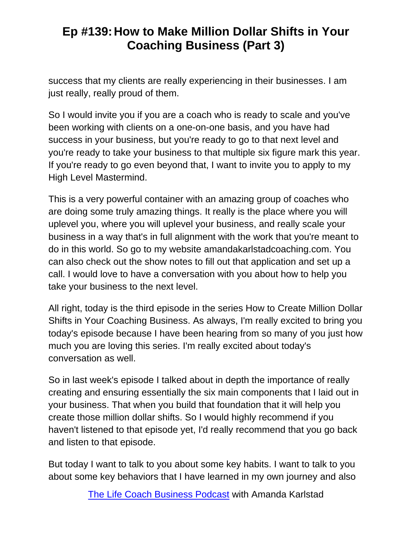success that my clients are really experiencing in their businesses. I am just really, really proud of them.

So I would invite you if you are a coach who is ready to scale and you've been working with clients on a one-on-one basis, and you have had success in your business, but you're ready to go to that next level and you're ready to take your business to that multiple six figure mark this year. If you're ready to go even beyond that, I want to invite you to apply to my High Level Mastermind.

This is a very powerful container with an amazing group of coaches who are doing some truly amazing things. It really is the place where you will uplevel you, where you will uplevel your business, and really scale your business in a way that's in full alignment with the work that you're meant to do in this world. So go to my website amandakarlstadcoaching.com. You can also check out the show notes to fill out that application and set up a call. I would love to have a conversation with you about how to help you take your business to the next level.

All right, today is the third episode in the series How to Create Million Dollar Shifts in Your Coaching Business. As always, I'm really excited to bring you today's episode because I have been hearing from so many of you just how much you are loving this series. I'm really excited about today's conversation as well.

So in last week's episode I talked about in depth the importance of really creating and ensuring essentially the six main components that I laid out in your business. That when you build that foundation that it will help you create those million dollar shifts. So I would highly recommend if you haven't listened to that episode yet, I'd really recommend that you go back and listen to that episode.

But today I want to talk to you about some key habits. I want to talk to you about some key behaviors that I have learned in my own journey and also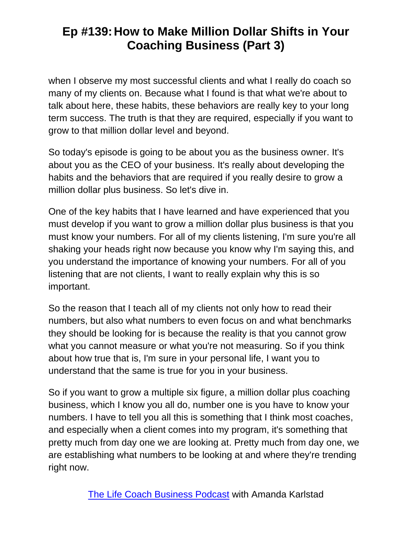when I observe my most successful clients and what I really do coach so many of my clients on. Because what I found is that what we're about to talk about here, these habits, these behaviors are really key to your long term success. The truth is that they are required, especially if you want to grow to that million dollar level and beyond.

So today's episode is going to be about you as the business owner. It's about you as the CEO of your business. It's really about developing the habits and the behaviors that are required if you really desire to grow a million dollar plus business. So let's dive in.

One of the key habits that I have learned and have experienced that you must develop if you want to grow a million dollar plus business is that you must know your numbers. For all of my clients listening, I'm sure you're all shaking your heads right now because you know why I'm saying this, and you understand the importance of knowing your numbers. For all of you listening that are not clients, I want to really explain why this is so important.

So the reason that I teach all of my clients not only how to read their numbers, but also what numbers to even focus on and what benchmarks they should be looking for is because the reality is that you cannot grow what you cannot measure or what you're not measuring. So if you think about how true that is, I'm sure in your personal life, I want you to understand that the same is true for you in your business.

So if you want to grow a multiple six figure, a million dollar plus coaching business, which I know you all do, number one is you have to know your numbers. I have to tell you all this is something that I think most coaches, and especially when a client comes into my program, it's something that pretty much from day one we are looking at. Pretty much from day one, we are establishing what numbers to be looking at and where they're trending right now.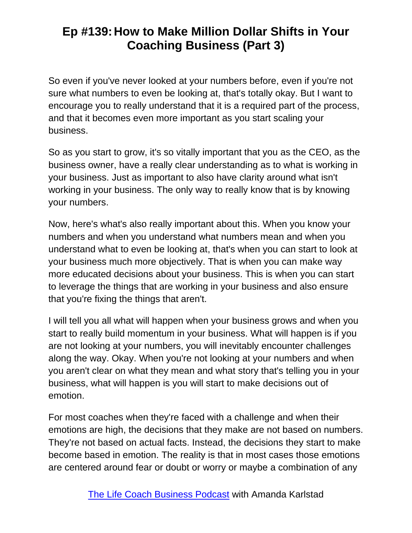So even if you've never looked at your numbers before, even if you're not sure what numbers to even be looking at, that's totally okay. But I want to encourage you to really understand that it is a required part of the process, and that it becomes even more important as you start scaling your business.

So as you start to grow, it's so vitally important that you as the CEO, as the business owner, have a really clear understanding as to what is working in your business. Just as important to also have clarity around what isn't working in your business. The only way to really know that is by knowing your numbers.

Now, here's what's also really important about this. When you know your numbers and when you understand what numbers mean and when you understand what to even be looking at, that's when you can start to look at your business much more objectively. That is when you can make way more educated decisions about your business. This is when you can start to leverage the things that are working in your business and also ensure that you're fixing the things that aren't.

I will tell you all what will happen when your business grows and when you start to really build momentum in your business. What will happen is if you are not looking at your numbers, you will inevitably encounter challenges along the way. Okay. When you're not looking at your numbers and when you aren't clear on what they mean and what story that's telling you in your business, what will happen is you will start to make decisions out of emotion.

For most coaches when they're faced with a challenge and when their emotions are high, the decisions that they make are not based on numbers. They're not based on actual facts. Instead, the decisions they start to make become based in emotion. The reality is that in most cases those emotions are centered around fear or doubt or worry or maybe a combination of any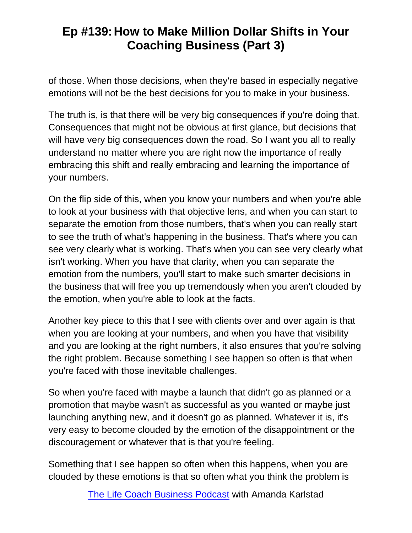of those. When those decisions, when they're based in especially negative emotions will not be the best decisions for you to make in your business.

The truth is, is that there will be very big consequences if you're doing that. Consequences that might not be obvious at first glance, but decisions that will have very big consequences down the road. So I want you all to really understand no matter where you are right now the importance of really embracing this shift and really embracing and learning the importance of your numbers.

On the flip side of this, when you know your numbers and when you're able to look at your business with that objective lens, and when you can start to separate the emotion from those numbers, that's when you can really start to see the truth of what's happening in the business. That's where you can see very clearly what is working. That's when you can see very clearly what isn't working. When you have that clarity, when you can separate the emotion from the numbers, you'll start to make such smarter decisions in the business that will free you up tremendously when you aren't clouded by the emotion, when you're able to look at the facts.

Another key piece to this that I see with clients over and over again is that when you are looking at your numbers, and when you have that visibility and you are looking at the right numbers, it also ensures that you're solving the right problem. Because something I see happen so often is that when you're faced with those inevitable challenges.

So when you're faced with maybe a launch that didn't go as planned or a promotion that maybe wasn't as successful as you wanted or maybe just launching anything new, and it doesn't go as planned. Whatever it is, it's very easy to become clouded by the emotion of the disappointment or the discouragement or whatever that is that you're feeling.

Something that I see happen so often when this happens, when you are clouded by these emotions is that so often what you think the problem is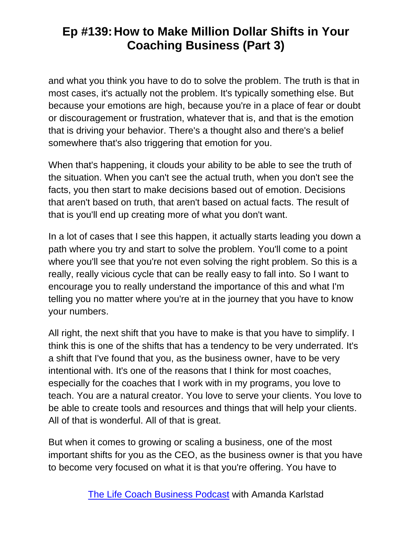and what you think you have to do to solve the problem. The truth is that in most cases, it's actually not the problem. It's typically something else. But because your emotions are high, because you're in a place of fear or doubt or discouragement or frustration, whatever that is, and that is the emotion that is driving your behavior. There's a thought also and there's a belief somewhere that's also triggering that emotion for you.

When that's happening, it clouds your ability to be able to see the truth of the situation. When you can't see the actual truth, when you don't see the facts, you then start to make decisions based out of emotion. Decisions that aren't based on truth, that aren't based on actual facts. The result of that is you'll end up creating more of what you don't want.

In a lot of cases that I see this happen, it actually starts leading you down a path where you try and start to solve the problem. You'll come to a point where you'll see that you're not even solving the right problem. So this is a really, really vicious cycle that can be really easy to fall into. So I want to encourage you to really understand the importance of this and what I'm telling you no matter where you're at in the journey that you have to know your numbers.

All right, the next shift that you have to make is that you have to simplify. I think this is one of the shifts that has a tendency to be very underrated. It's a shift that I've found that you, as the business owner, have to be very intentional with. It's one of the reasons that I think for most coaches, especially for the coaches that I work with in my programs, you love to teach. You are a natural creator. You love to serve your clients. You love to be able to create tools and resources and things that will help your clients. All of that is wonderful. All of that is great.

But when it comes to growing or scaling a business, one of the most important shifts for you as the CEO, as the business owner is that you have to become very focused on what it is that you're offering. You have to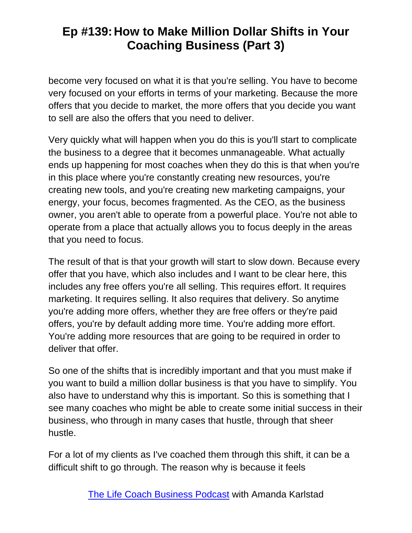become very focused on what it is that you're selling. You have to become very focused on your efforts in terms of your marketing. Because the more offers that you decide to market, the more offers that you decide you want to sell are also the offers that you need to deliver.

Very quickly what will happen when you do this is you'll start to complicate the business to a degree that it becomes unmanageable. What actually ends up happening for most coaches when they do this is that when you're in this place where you're constantly creating new resources, you're creating new tools, and you're creating new marketing campaigns, your energy, your focus, becomes fragmented. As the CEO, as the business owner, you aren't able to operate from a powerful place. You're not able to operate from a place that actually allows you to focus deeply in the areas that you need to focus.

The result of that is that your growth will start to slow down. Because every offer that you have, which also includes and I want to be clear here, this includes any free offers you're all selling. This requires effort. It requires marketing. It requires selling. It also requires that delivery. So anytime you're adding more offers, whether they are free offers or they're paid offers, you're by default adding more time. You're adding more effort. You're adding more resources that are going to be required in order to deliver that offer.

So one of the shifts that is incredibly important and that you must make if you want to build a million dollar business is that you have to simplify. You also have to understand why this is important. So this is something that I see many coaches who might be able to create some initial success in their business, who through in many cases that hustle, through that sheer hustle.

For a lot of my clients as I've coached them through this shift, it can be a difficult shift to go through. The reason why is because it feels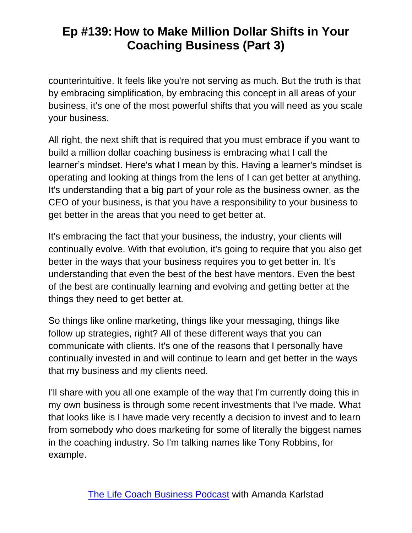counterintuitive. It feels like you're not serving as much. But the truth is that by embracing simplification, by embracing this concept in all areas of your business, it's one of the most powerful shifts that you will need as you scale your business.

All right, the next shift that is required that you must embrace if you want to build a million dollar coaching business is embracing what I call the learner's mindset. Here's what I mean by this. Having a learner's mindset is operating and looking at things from the lens of I can get better at anything. It's understanding that a big part of your role as the business owner, as the CEO of your business, is that you have a responsibility to your business to get better in the areas that you need to get better at.

It's embracing the fact that your business, the industry, your clients will continually evolve. With that evolution, it's going to require that you also get better in the ways that your business requires you to get better in. It's understanding that even the best of the best have mentors. Even the best of the best are continually learning and evolving and getting better at the things they need to get better at.

So things like online marketing, things like your messaging, things like follow up strategies, right? All of these different ways that you can communicate with clients. It's one of the reasons that I personally have continually invested in and will continue to learn and get better in the ways that my business and my clients need.

I'll share with you all one example of the way that I'm currently doing this in my own business is through some recent investments that I've made. What that looks like is I have made very recently a decision to invest and to learn from somebody who does marketing for some of literally the biggest names in the coaching industry. So I'm talking names like Tony Robbins, for example.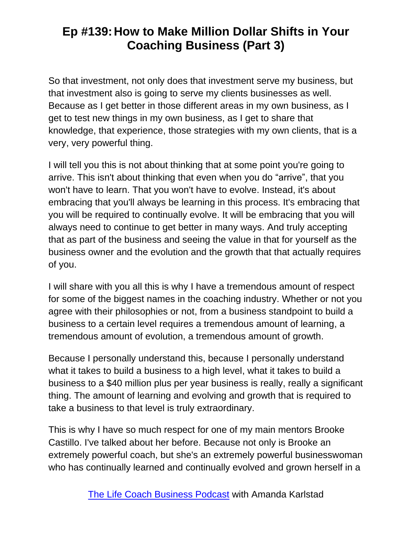So that investment, not only does that investment serve my business, but that investment also is going to serve my clients businesses as well. Because as I get better in those different areas in my own business, as I get to test new things in my own business, as I get to share that knowledge, that experience, those strategies with my own clients, that is a very, very powerful thing.

I will tell you this is not about thinking that at some point you're going to arrive. This isn't about thinking that even when you do "arrive", that you won't have to learn. That you won't have to evolve. Instead, it's about embracing that you'll always be learning in this process. It's embracing that you will be required to continually evolve. It will be embracing that you will always need to continue to get better in many ways. And truly accepting that as part of the business and seeing the value in that for yourself as the business owner and the evolution and the growth that that actually requires of you.

I will share with you all this is why I have a tremendous amount of respect for some of the biggest names in the coaching industry. Whether or not you agree with their philosophies or not, from a business standpoint to build a business to a certain level requires a tremendous amount of learning, a tremendous amount of evolution, a tremendous amount of growth.

Because I personally understand this, because I personally understand what it takes to build a business to a high level, what it takes to build a business to a \$40 million plus per year business is really, really a significant thing. The amount of learning and evolving and growth that is required to take a business to that level is truly extraordinary.

This is why I have so much respect for one of my main mentors Brooke Castillo. I've talked about her before. Because not only is Brooke an extremely powerful coach, but she's an extremely powerful businesswoman who has continually learned and continually evolved and grown herself in a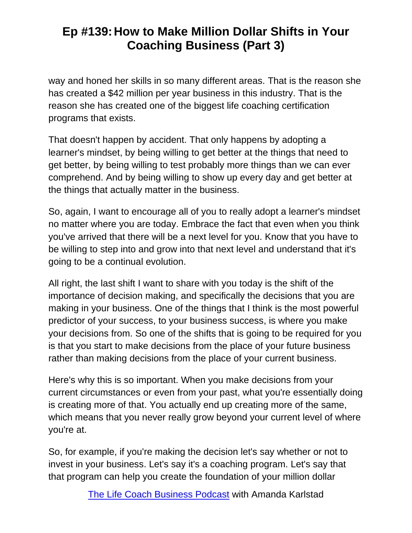way and honed her skills in so many different areas. That is the reason she has created a \$42 million per year business in this industry. That is the reason she has created one of the biggest life coaching certification programs that exists.

That doesn't happen by accident. That only happens by adopting a learner's mindset, by being willing to get better at the things that need to get better, by being willing to test probably more things than we can ever comprehend. And by being willing to show up every day and get better at the things that actually matter in the business.

So, again, I want to encourage all of you to really adopt a learner's mindset no matter where you are today. Embrace the fact that even when you think you've arrived that there will be a next level for you. Know that you have to be willing to step into and grow into that next level and understand that it's going to be a continual evolution.

All right, the last shift I want to share with you today is the shift of the importance of decision making, and specifically the decisions that you are making in your business. One of the things that I think is the most powerful predictor of your success, to your business success, is where you make your decisions from. So one of the shifts that is going to be required for you is that you start to make decisions from the place of your future business rather than making decisions from the place of your current business.

Here's why this is so important. When you make decisions from your current circumstances or even from your past, what you're essentially doing is creating more of that. You actually end up creating more of the same, which means that you never really grow beyond your current level of where you're at.

So, for example, if you're making the decision let's say whether or not to invest in your business. Let's say it's a coaching program. Let's say that that program can help you create the foundation of your million dollar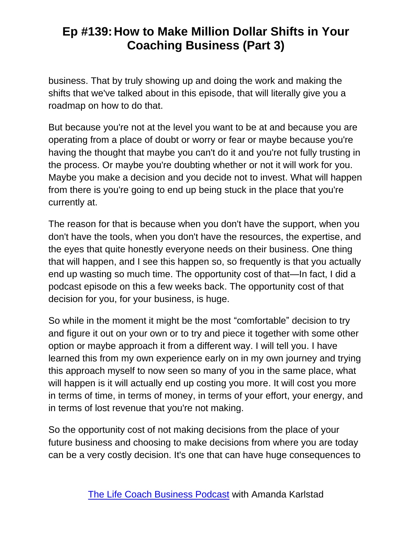business. That by truly showing up and doing the work and making the shifts that we've talked about in this episode, that will literally give you a roadmap on how to do that.

But because you're not at the level you want to be at and because you are operating from a place of doubt or worry or fear or maybe because you're having the thought that maybe you can't do it and you're not fully trusting in the process. Or maybe you're doubting whether or not it will work for you. Maybe you make a decision and you decide not to invest. What will happen from there is you're going to end up being stuck in the place that you're currently at.

The reason for that is because when you don't have the support, when you don't have the tools, when you don't have the resources, the expertise, and the eyes that quite honestly everyone needs on their business. One thing that will happen, and I see this happen so, so frequently is that you actually end up wasting so much time. The opportunity cost of that—In fact, I did a podcast episode on this a few weeks back. The opportunity cost of that decision for you, for your business, is huge.

So while in the moment it might be the most "comfortable" decision to try and figure it out on your own or to try and piece it together with some other option or maybe approach it from a different way. I will tell you. I have learned this from my own experience early on in my own journey and trying this approach myself to now seen so many of you in the same place, what will happen is it will actually end up costing you more. It will cost you more in terms of time, in terms of money, in terms of your effort, your energy, and in terms of lost revenue that you're not making.

So the opportunity cost of not making decisions from the place of your future business and choosing to make decisions from where you are today can be a very costly decision. It's one that can have huge consequences to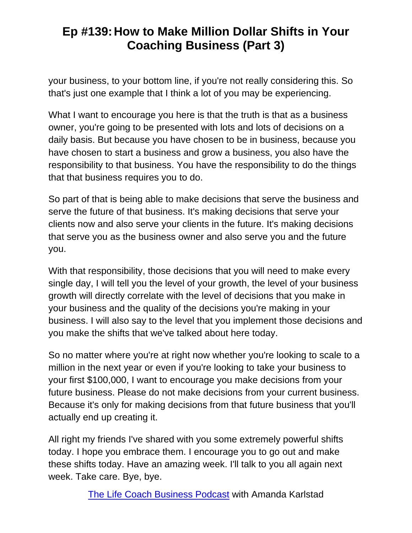your business, to your bottom line, if you're not really considering this. So that's just one example that I think a lot of you may be experiencing.

What I want to encourage you here is that the truth is that as a business owner, you're going to be presented with lots and lots of decisions on a daily basis. But because you have chosen to be in business, because you have chosen to start a business and grow a business, you also have the responsibility to that business. You have the responsibility to do the things that that business requires you to do.

So part of that is being able to make decisions that serve the business and serve the future of that business. It's making decisions that serve your clients now and also serve your clients in the future. It's making decisions that serve you as the business owner and also serve you and the future you.

With that responsibility, those decisions that you will need to make every single day, I will tell you the level of your growth, the level of your business growth will directly correlate with the level of decisions that you make in your business and the quality of the decisions you're making in your business. I will also say to the level that you implement those decisions and you make the shifts that we've talked about here today.

So no matter where you're at right now whether you're looking to scale to a million in the next year or even if you're looking to take your business to your first \$100,000, I want to encourage you make decisions from your future business. Please do not make decisions from your current business. Because it's only for making decisions from that future business that you'll actually end up creating it.

All right my friends I've shared with you some extremely powerful shifts today. I hope you embrace them. I encourage you to go out and make these shifts today. Have an amazing week. I'll talk to you all again next week. Take care. Bye, bye.